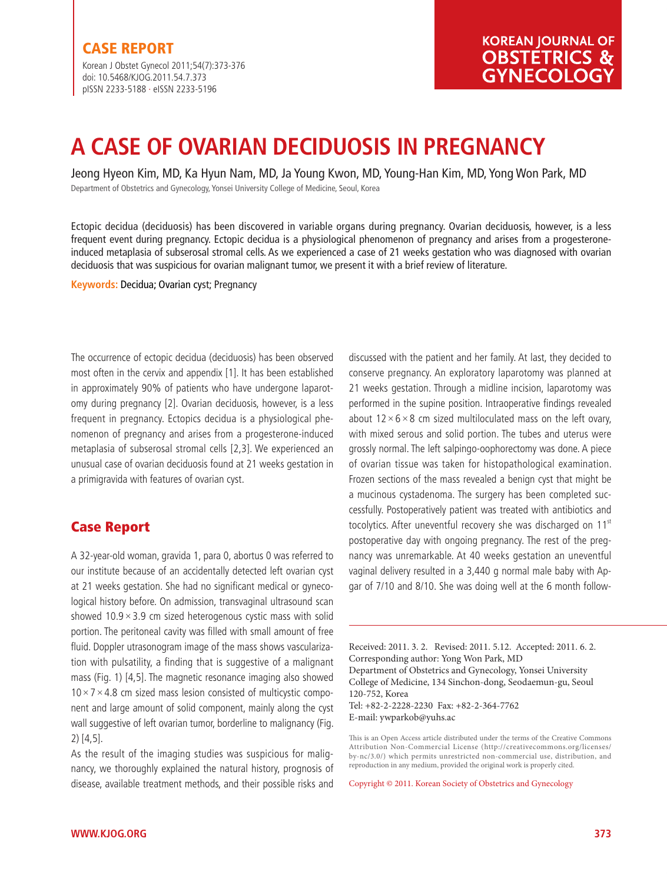Korean J Obstet Gynecol 2011;54(7):373-376 doi: 10.5468/KJOG.2011.54.7.373 pISSN 2233-5188 · eISSN 2233-5196

# **A CASE OF OVARIAN DECIDUOSIS IN PREGNANCY**

Jeong Hyeon Kim, MD, Ka Hyun Nam, MD, Ja Young Kwon, MD, Young-Han Kim, MD, Yong Won Park, MD

Department of Obstetrics and Gynecology, Yonsei University College of Medicine, Seoul, Korea

Ectopic decidua (deciduosis) has been discovered in variable organs during pregnancy. Ovarian deciduosis, however, is a less frequent event during pregnancy. Ectopic decidua is a physiological phenomenon of pregnancy and arises from a progesteroneinduced metaplasia of subserosal stromal cells. As we experienced a case of 21 weeks gestation who was diagnosed with ovarian deciduosis that was suspicious for ovarian malignant tumor, we present it with a brief review of literature.

**Keywords:** Decidua; Ovarian cyst; Pregnancy

The occurrence of ectopic decidua (deciduosis) has been observed most often in the cervix and appendix [1]. It has been established in approximately 90% of patients who have undergone laparotomy during pregnancy [2]. Ovarian deciduosis, however, is a less frequent in pregnancy. Ectopics decidua is a physiological phenomenon of pregnancy and arises from a progesterone-induced metaplasia of subserosal stromal cells [2,3]. We experienced an unusual case of ovarian deciduosis found at 21 weeks gestation in a primigravida with features of ovarian cyst.

## **Case Report**

A 32-year-old woman, gravida 1, para 0, abortus 0 was referred to our institute because of an accidentally detected left ovarian cyst at 21 weeks gestation. She had no significant medical or gynecological history before. On admission, transvaginal ultrasound scan showed  $10.9 \times 3.9$  cm sized heterogenous cystic mass with solid portion. The peritoneal cavity was filled with small amount of free fluid. Doppler utrasonogram image of the mass shows vascularization with pulsatility, a finding that is suggestive of a malignant mass (Fig. 1) [4,5]. The magnetic resonance imaging also showed  $10 \times 7 \times 4.8$  cm sized mass lesion consisted of multicystic component and large amount of solid component, mainly along the cyst wall suggestive of left ovarian tumor, borderline to malignancy (Fig. 2) [4,5].

As the result of the imaging studies was suspicious for malignancy, we thoroughly explained the natural history, prognosis of disease, available treatment methods, and their possible risks and

discussed with the patient and her family. At last, they decided to conserve pregnancy. An exploratory laparotomy was planned at 21 weeks gestation. Through a midline incision, laparotomy was performed in the supine position. Intraoperative findings revealed about  $12 \times 6 \times 8$  cm sized multiloculated mass on the left ovary, with mixed serous and solid portion. The tubes and uterus were grossly normal. The left salpingo-oophorectomy was done. A piece of ovarian tissue was taken for histopathological examination. Frozen sections of the mass revealed a benign cyst that might be a mucinous cystadenoma. The surgery has been completed successfully. Postoperatively patient was treated with antibiotics and tocolytics. After uneventful recovery she was discharged on 11<sup>st</sup> postoperative day with ongoing pregnancy. The rest of the pregnancy was unremarkable. At 40 weeks gestation an uneventful vaginal delivery resulted in a 3,440 g normal male baby with Apgar of 7/10 and 8/10. She was doing well at the 6 month follow-

Received: 2011. 3. 2. Revised: 2011. 5.12. Accepted: 2011. 6. 2. Corresponding author: Yong Won Park, MD Department of Obstetrics and Gynecology, Yonsei University College of Medicine, 134 Sinchon-dong, Seodaemun-gu, Seoul 120-752, Korea Tel: +82-2-2228-2230 Fax: +82-2-364-7762 E-mail: ywparkob@yuhs.ac

This is an Open Access article distributed under the terms of the Creative Commons Attribution Non-Commercial License (http://creativecommons.org/licenses/ by-nc/3.0/) which permits unrestricted non-commercial use, distribution, and reproduction in any medium, provided the original work is properly cited.

Copyright © 2011. Korean Society of Obstetrics and Gynecology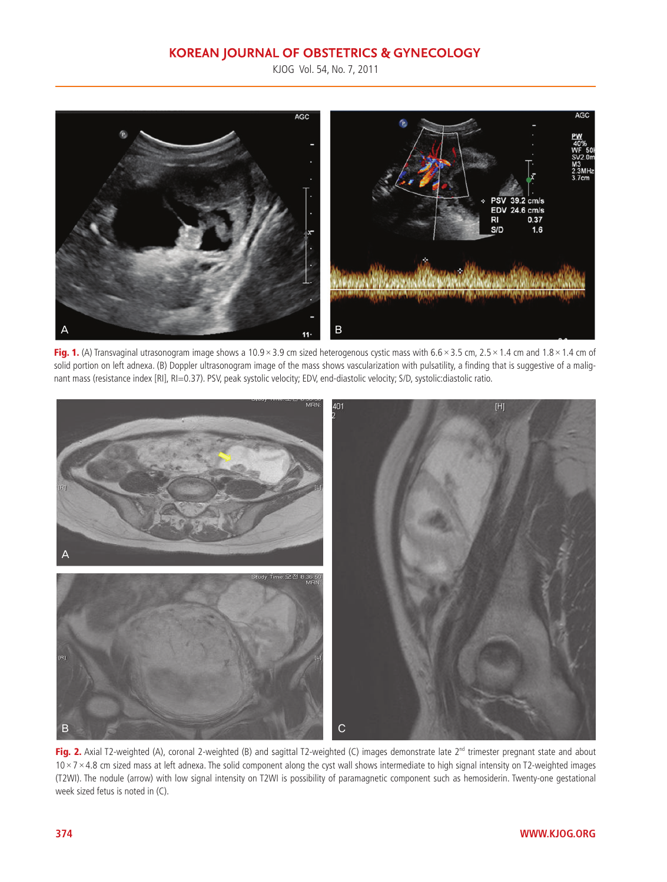## **KOREAN JOURNAL OF OBSTETRICS & GYNECOLOGY**

KJOG Vol. 54, No. 7, 2011



**Fig. 1.** (A) Transvaginal utrasonogram image shows a 10.9 × 3.9 cm sized heterogenous cystic mass with 6.6 × 3.5 cm, 2.5 × 1.4 cm and 1.8 × 1.4 cm of solid portion on left adnexa. (B) Doppler ultrasonogram image of the mass shows vascularization with pulsatility, a finding that is suggestive of a malignant mass (resistance index [RI], RI=0.37). PSV, peak systolic velocity; EDV, end-diastolic velocity; S/D, systolic:diastolic ratio.



Fig. 2. Axial T2-weighted (A), coronal 2-weighted (B) and sagittal T2-weighted (C) images demonstrate late 2<sup>nd</sup> trimester pregnant state and about  $10 \times 7 \times 4.8$  cm sized mass at left adnexa. The solid component along the cyst wall shows intermediate to high signal intensity on T2-weighted images (T2WI). The nodule (arrow) with low signal intensity on T2WI is possibility of paramagnetic component such as hemosiderin. Twenty-one gestational week sized fetus is noted in (C).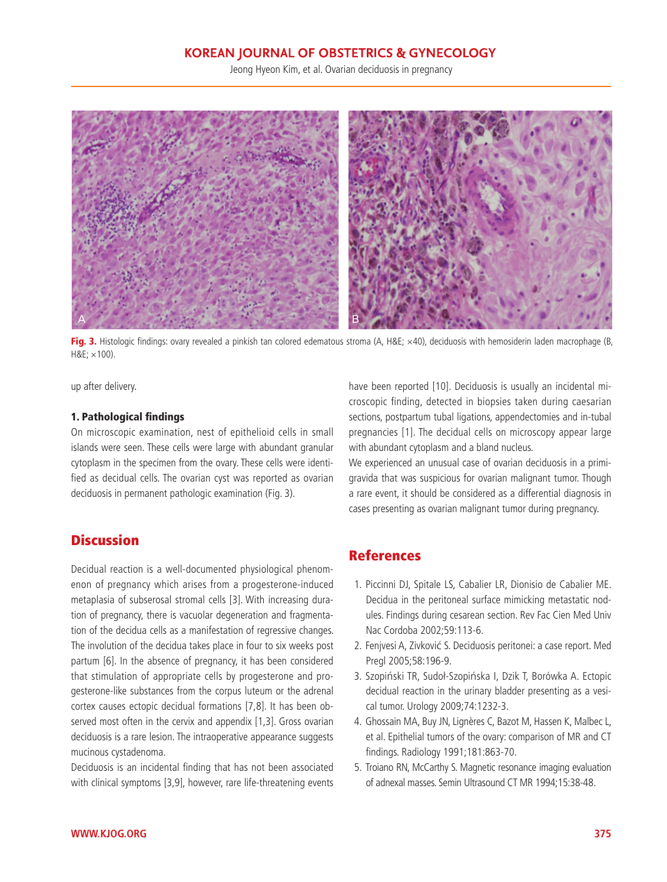### **KOREAN JOURNAL OF OBSTETRICS & GYNECOLOGY**

Jeong Hyeon Kim, et al. Ovarian deciduosis in pregnancy



Fig. 3. Histologic findings: ovary revealed a pinkish tan colored edematous stroma (A, H&E; ×40), deciduosis with hemosiderin laden macrophage (B,  $H&E \times 100$ ).

up after delivery.

#### **1. Pathological findings**

On microscopic examination, nest of epithelioid cells in small islands were seen. These cells were large with abundant granular cytoplasm in the specimen from the ovary. These cells were identified as decidual cells. The ovarian cyst was reported as ovarian deciduosis in permanent pathologic examination (Fig. 3).

# **Discussion**

Decidual reaction is a well-documented physiological phenomenon of pregnancy which arises from a progesterone-induced metaplasia of subserosal stromal cells [3]. With increasing duration of pregnancy, there is vacuolar degeneration and fragmentation of the decidua cells as a manifestation of regressive changes. The involution of the decidua takes place in four to six weeks post partum [6]. In the absence of pregnancy, it has been considered that stimulation of appropriate cells by progesterone and progesterone-like substances from the corpus luteum or the adrenal cortex causes ectopic decidual formations [7,8]. It has been observed most often in the cervix and appendix [1,3]. Gross ovarian deciduosis is a rare lesion. The intraoperative appearance suggests mucinous cystadenoma.

Deciduosis is an incidental finding that has not been associated with clinical symptoms [3,9], however, rare life-threatening events have been reported [10]. Deciduosis is usually an incidental microscopic finding, detected in biopsies taken during caesarian sections, postpartum tubal ligations, appendectomies and in-tubal pregnancies [1]. The decidual cells on microscopy appear large with abundant cytoplasm and a bland nucleus.

We experienced an unusual case of ovarian deciduosis in a primigravida that was suspicious for ovarian malignant tumor. Though a rare event, it should be considered as a differential diagnosis in cases presenting as ovarian malignant tumor during pregnancy.

# **References**

- 1. Piccinni DJ, Spitale LS, Cabalier LR, Dionisio de Cabalier ME. Decidua in the peritoneal surface mimicking metastatic nodules. Findings during cesarean section. Rev Fac Cien Med Univ Nac Cordoba 2002;59:113-6.
- 2. Fenjvesi A, Zivković S. Deciduosis peritonei: a case report. Med Pregl 2005;58:196-9.
- 3. Szopiñski TR, Sudoł-Szopiñska I, Dzik T, Borówka A. Ectopic decidual reaction in the urinary bladder presenting as a vesical tumor. Urology 2009;74:1232-3.
- 4. Ghossain MA, Buy JN, Lignères C, Bazot M, Hassen K, Malbec L, et al. Epithelial tumors of the ovary: comparison of MR and CT fi ndings. Radiology 1991;181:863-70.
- 5. Troiano RN, McCarthy S. Magnetic resonance imaging evaluation of adnexal masses. Semin Ultrasound CT MR 1994;15:38-48.